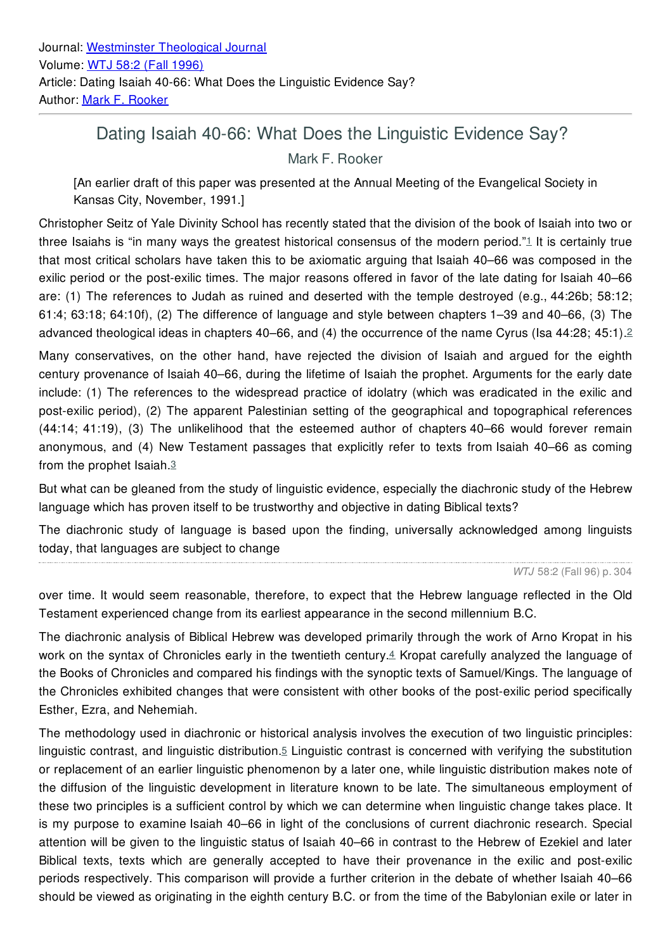## Dating Isaiah 40-66: What Does the Linguistic Evidence Say?

Mark F. Rooker

[An earlier draft of this paper was presented at the Annual Meeting of the Evangelical Society in Kansas City, November, 1991.]

Christopher Seitz of Yale Divinity School has recently stated that the division of the book of Isaiah into two or three Isaiahs is "in many ways the greatest historical consensus of the modern period."[1](file:///tmp/tmppdf1.html#G96B071) It is certainly true that most critical scholars have taken this to be axiomatic arguing that Isaiah 40–66 was composed in the exilic period or the post-exilic times. The major reasons offered in favor of the late dating for Isaiah 40–66 are: (1) The references to Judah as ruined and deserted with the temple destroyed (e.g., 44:26b; 58:12; 61:4; 63:18; 64:10f), (2) The difference of language and style between chapters 1–39 and 40–66, (3) The advanced theological ideas in chapters 40–66, and (4) the occurrence of the name Cyrus (Isa 44:28; 45:1).[2](file:///tmp/tmppdf1.html#G96B072)

Many conservatives, on the other hand, have rejected the division of Isaiah and argued for the eighth century provenance of Isaiah 40–66, during the lifetime of Isaiah the prophet. Arguments for the early date include: (1) The references to the widespread practice of idolatry (which was eradicated in the exilic and post-exilic period), (2) The apparent Palestinian setting of the geographical and topographical references (44:14; 41:19), (3) The unlikelihood that the esteemed author of chapters 40–66 would forever remain anonymous, and (4) New Testament passages that explicitly refer to texts from Isaiah 40–66 as coming from the prophet Isaiah.[3](file:///tmp/tmppdf1.html#G96B073)

But what can be gleaned from the study of linguistic evidence, especially the diachronic study of the Hebrew language which has proven itself to be trustworthy and objective in dating Biblical texts?

The diachronic study of language is based upon the finding, universally acknowledged among linguists today, that languages are subject to change

*WTJ* 58:2 (Fall 96) p. 304

over time. It would seem reasonable, therefore, to expect that the Hebrew language reflected in the Old Testament experienced change from its earliest appearance in the second millennium B.C.

The diachronic analysis of Biblical Hebrew was developed primarily through the work of Arno Kropat in his work on the syntax of Chronicles early in the twentieth century.[4](file:///tmp/tmppdf1.html#G96B074) Kropat carefully analyzed the language of the Books of Chronicles and compared his findings with the synoptic texts of Samuel/Kings. The language of the Chronicles exhibited changes that were consistent with other books of the post-exilic period specifically Esther, Ezra, and Nehemiah.

The methodology used in diachronic or historical analysis involves the execution of two linguistic principles: linguistic contrast, and linguistic distribution.<sup>[5](file:///tmp/tmppdf1.html#G96B075)</sup> Linguistic contrast is concerned with verifying the substitution or replacement of an earlier linguistic phenomenon by a later one, while linguistic distribution makes note of the diffusion of the linguistic development in literature known to be late. The simultaneous employment of these two principles is a sufficient control by which we can determine when linguistic change takes place. It is my purpose to examine Isaiah 40–66 in light of the conclusions of current diachronic research. Special attention will be given to the linguistic status of Isaiah 40–66 in contrast to the Hebrew of Ezekiel and later Biblical texts, texts which are generally accepted to have their provenance in the exilic and post-exilic periods respectively. This comparison will provide a further criterion in the debate of whether Isaiah 40–66 should be viewed as originating in the eighth century B.C. or from the time of the Babylonian exile or later in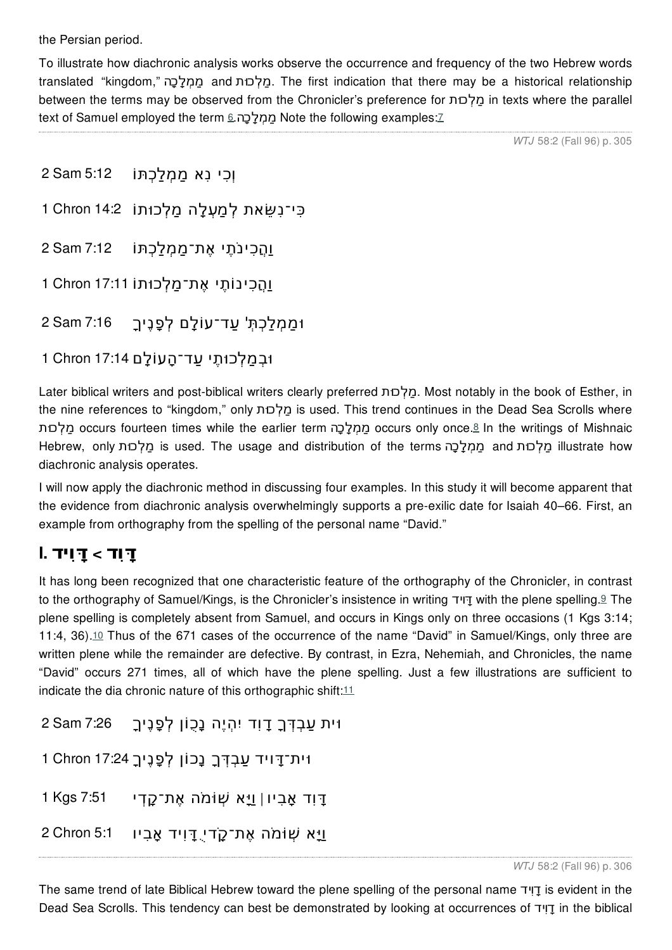the Persian period.

To illustrate how diachronic analysis works observe the occurrence and frequency of the two Hebrew words translated "kingdom," הָכָלְמַמ and כוּתְלַמ. The first indication that there may be a historical relationship between the terms may be observed from the Chronicler's preference for כוּתְלַמ in texts where the parallel text of Samuel employed the term ממלכה Note the following examples:[7](file:///tmp/tmppdf1.html#G96B077)

*WTJ* 58:2 (Fall 96) p. 305

```
וְכִי נִא מַמְלַכְתּוֹ 5:12 Sam 2
כִּי־נִ ֵּשׂאת לְמַ ְעלָה מַלְכוּתוֹ 14:2 Chron 1
וַהֲכִי ֹנתֶי אֶת־מַמְלַכְתּוֹ 7:12 Sam 2
וַהֲכִינוֹתֶי אֶת־מַלְכוּתוֹ 17:11 Chron 1
וּמַמְלַכְתְּ' ַעד־עוֹלָם לְפָנֶיךָ 7:16 Sam 2
```
וּבְמַלְכוּתֶי ַעד־הָעוֹלָם 17:14 Chron 1

Later biblical writers and post-biblical writers clearly preferred כוּתְלַמ. Most notably in the book of Esther, in the nine references to "kingdom," only כוּתְלַמ is used. This trend continues in the Dead Sea Scrolls where כוּתְלַמ occurs fourteen times while the earlier term הָכָלְמַמ occurs only once.[8](file:///tmp/tmppdf1.html#G96B078) In the writings of Mishnaic Hebrew, only כַּלְכוּת is used. The usage and distribution of the terms הֲמִלְכַה illustrate how diachronic analysis operates.

I will now apply the diachronic method in discussing four examples. In this study it will become apparent that the evidence from diachronic analysis overwhelmingly supports a pre-exilic date for Isaiah 40–66. First, an example from orthography from the spelling of the personal name "David."

# **ָדּוִד > ָדּוִיד .I**

It has long been recognized that one characteristic feature of the orthography of the Chronicler, in contrast to the orthography of Samuel/Kings, is the Chronicler's insistence in writing דּוידָ with the plene spelling.[9](file:///tmp/tmppdf1.html#G96B079) The plene spelling is completely absent from Samuel, and occurs in Kings only on three occasions (1 Kgs 3:14; 11:4, 36).[10](file:///tmp/tmppdf1.html#G96B0710) Thus of the 671 cases of the occurrence of the name "David" in Samuel/Kings, only three are written plene while the remainder are defective. By contrast, in Ezra, Nehemiah, and Chronicles, the name "David" occurs 271 times, all of which have the plene spelling. Just a few illustrations are sufficient to indicate the dia chronic nature of this orthographic shift:<sup>[11](file:///tmp/tmppdf1.html#G96B0711)</sup>

```
וּית ַעבְ ְדּךָ ָדוִד יִהְיֶה נָכֻוֹן לְפָנֶיךָ 7:26 Sam 2
וּית־ ָדּויד ַעבְ ְדּךָ נָכוֹן לְפָנֶיך17:24ָ Chron 1
ָדּוִד אָבִיו | וַיָּא ֹה ּמ ְשׁוֹ אֶת־ ָק ְדי 7:51 Kgs 1
וַיַּא שָׁוֹמֹה אֶת־קָדי דּוִיד אַבִיו 5:1 2 Chron 5:1
```
The same trend of late Biblical Hebrew toward the plene spelling of the personal name ידִדוָ is evident in the Dead Sea Scrolls. This tendency can best be demonstrated by looking at occurrences of ידִדוָ in the biblical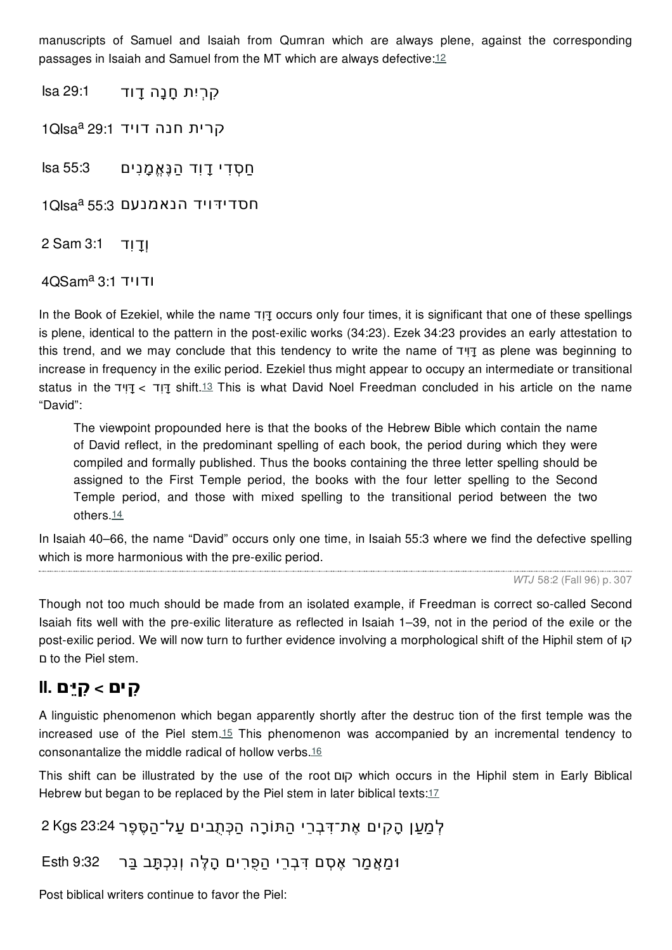manuscripts of Samuel and Isaiah from Qumran which are always plene, against the corresponding passages in Isaiah and Samuel from the MT which are always defective:[12](file:///tmp/tmppdf1.html#G96B0712)

ִקרְיִת ָחנָה ָדוד 29:1 Isa

קרית חנה דויד 29:1 <sup>1</sup>Qlsa<sup>a</sup>

ַח ְס ִדי ָדוִד הַנֶּאֱמָנִים 55:3 Isa

1QIsa חסדידּויד הנאמנעם 55:3 <sup>a</sup>

וְָדוִד 3:1 Sam 2

 $4OSam<sup>a</sup>3:1$  ודויד

In the Book of Ezekiel, while the name דִדּוָ occurs only four times, it is significant that one of these spellings is plene, identical to the pattern in the post-exilic works (34:23). Ezek 34:23 provides an early attestation to this trend, and we may conclude that this tendency to write the name of ידִדּוָ as plene was beginning to increase in frequency in the exilic period. Ezekiel thus might appear to occupy an intermediate or transitional status in the ידִדּוָ > דִדּוָ shift.[13](file:///tmp/tmppdf1.html#G96B0713) This is what David Noel Freedman concluded in his article on the name "David":

The viewpoint propounded here is that the books of the Hebrew Bible which contain the name of David reflect, in the predominant spelling of each book, the period during which they were compiled and formally published. Thus the books containing the three letter spelling should be assigned to the First Temple period, the books with the four letter spelling to the Second Temple period, and those with mixed spelling to the transitional period between the two others.[14](file:///tmp/tmppdf1.html#G96B0714)

In Isaiah 40–66, the name "David" occurs only one time, in Isaiah 55:3 where we find the defective spelling which is more harmonious with the pre-exilic period.

*WTJ* 58:2 (Fall 96) p. 307

Though not too much should be made from an isolated example, if Freedman is correct so-called Second Isaiah fits well with the pre-exilic literature as reflected in Isaiah 1–39, not in the period of the exile or the post-exilic period. We will now turn to further evidence involving a morphological shift of the Hiphil stem of קו ם to the Piel stem.

### **ִקים > ִקיֵּם .II**

A linguistic phenomenon which began apparently shortly after the destruc tion of the first temple was the increased use of the Piel stem.[15](file:///tmp/tmppdf1.html#G96B0715) This phenomenon was accompanied by an incremental tendency to consonantalize the middle radical of hollow verbs.[16](file:///tmp/tmppdf1.html#G96B0716)

This shift can be illustrated by the use of the root קום which occurs in the Hiphil stem in Early Biblical Hebrew but began to be replaced by the Piel stem in later biblical texts:<sup>[17](file:///tmp/tmppdf1.html#G96B0717)</sup>

```
לְמַען הַקִים אֶת־דּבָרִי הִתּוֹרַה הִכְּתְבִים על־הַסֶּפֶר 23:24 Kgs 23
```
וּמַאֲמַר אֶ ְסם ִדּבְרֵי הַפֻרִים הָלֶּה וְנִכְתָּב בַּר 9:32 Esth

Post biblical writers continue to favor the Piel: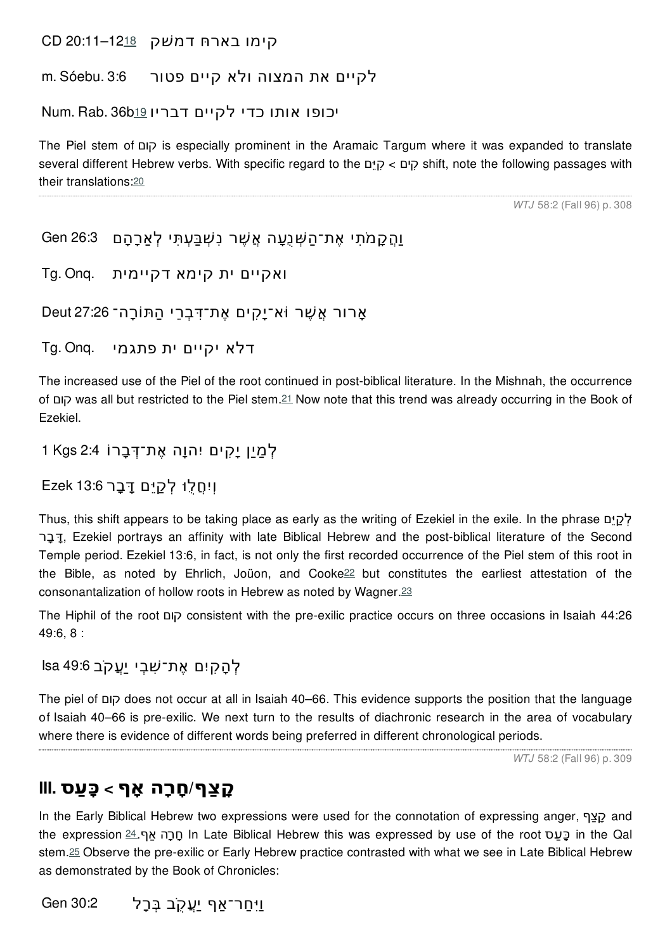קימו בארחּ דמשׁק -12<u>[18](file:///tmp/tmppdf1.html#G96B0718)</u>–20:11

לקיים את המצוה ולא קיים פטור 3:6 .Sóebu .m

יכופו אותו כדי לקיים דבריו [19](file:///tmp/tmppdf1.html#G96B0719)5 .Num. Rab

The Piel stem of קום is especially prominent in the Aramaic Targum where it was expanded to translate several different Hebrew verbs. With specific regard to the םֵקיִּ > קיםִ shift, note the following passages with their translations:[20](file:///tmp/tmppdf1.html#G96B0720)

*WTJ* 58:2 (Fall 96) p. 308

```
וַהֵּקֲמֹתִי אֶת־הַשְּׁנֶעָה אֵשֵׁר נִשְׁבַּעִתִּי לְאַרָהָם 26:3 Gen
```

```
ואקיים ית קימא דקיימית .Onq .Tg
```
אַרור אַשָׁר וֹא־יַקִים אֵת־דְּבִרֵי הַתּוֹרָה־ 27:26 Deut

דלא יקיים ית פתגמי .Onq .Tg

The increased use of the Piel of the root continued in post-biblical literature. In the Mishnah, the occurrence of קום was all but restricted to the Piel stem.[21](file:///tmp/tmppdf1.html#G96B0721) Now note that this trend was already occurring in the Book of Ezekiel.

```
לְמַיַן יָ ִקים יִהוָה אֶת־ ְדּבָרוֹ 2:4 Kgs 1
```
וְיִ ֲחלֻוּ לְ ַקיֵּם ָדּבָר 13:6 Ezek

Thus, this shift appears to be taking place as early as the writing of Ezekiel in the exile. In the phrase לַק רָדּבָ , Ezekiel portrays an affinity with late Biblical Hebrew and the post-biblical literature of the Second Temple period. Ezekiel 13:6, in fact, is not only the first recorded occurrence of the Piel stem of this root in the Bible, as noted by Ehrlich, Joüon, and Cooke<sup>[22](file:///tmp/tmppdf1.html#G96B0722)</sup> but constitutes the earliest attestation of the consonantalization of hollow roots in Hebrew as noted by Wagner.[23](file:///tmp/tmppdf1.html#G96B0723)

The Hiphil of the root קום consistent with the pre-exilic practice occurs on three occasions in Isaiah 44:26 49:6, 8 :

```
לְהָ ִקיִם אֶת־ ִשׁבְי יֲַע ֹקב 49:6 Isa
```
The piel of קום does not occur at all in Isaiah 40–66. This evidence supports the position that the language of Isaiah 40–66 is pre-exilic. We next turn to the results of diachronic research in the area of vocabulary where there is evidence of different words being preferred in different chronological periods.

*WTJ* 58:2 (Fall 96) p. 309

### **ָק ַצף/ ָחרָה אָף > כָּ ַעס .III**

In the Early Biblical Hebrew two expressions were used for the connotation of expressing anger, ףַקצָ and the expression [24](file:///tmp/tmppdf1.html#G96B0724).אַף הָחרָ In Late Biblical Hebrew this was expressed by use of the root עסַ ָכּ in the Qal stem.[25](file:///tmp/tmppdf1.html#G96B0725) Observe the pre-exilic or Early Hebrew practice contrasted with what we see in Late Biblical Hebrew as demonstrated by the Book of Chronicles:

וַיִּחַר־אַף <u>יַע</u>קב בִּרָל Gen 30:2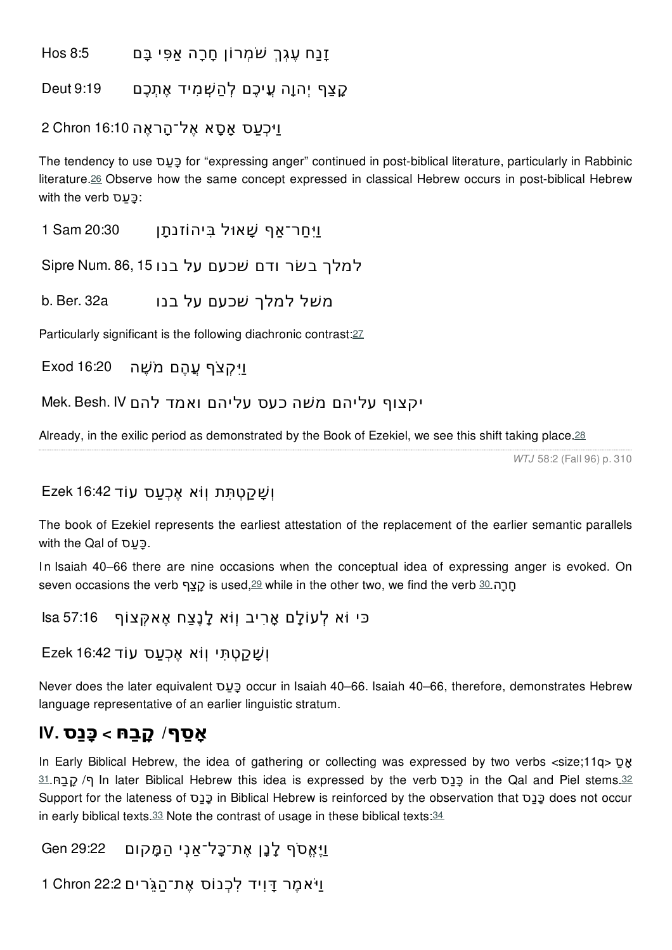זָנַח ֶעגְךְ ֹשׁמְרוֹן ָחרָה אַפִּי בָּם 8:5 Hos

ָקצַף יְהוָה ֲעיכֶם לְהַ ְשׁמִיד אֶתְכֶם 9:19 Deut

#### וַיּכְעַס אָסָא אֶל־הָראֶה 16:10 2 Chron 16:10

The tendency to use עסַ ָכּ for "expressing anger" continued in post-biblical literature, particularly in Rabbinic literature.[26](file:///tmp/tmppdf1.html#G96B0726) Observe how the same concept expressed in classical Hebrew occurs in post-biblical Hebrew with the verb <u>י</u>בּעס

וַיִּ ַחר־אַף ָשׁאוּל בִּיהוֹזנתָן 20:30 Sam 1

למלך בשׂר ודם שׁכעם על בנו 15,15 Sipre Num S6,15

b. Ber. 32a . משל למלך שכעם על בנו

Particularly significant is the following diachronic contrast:[27](file:///tmp/tmppdf1.html#G96B0727)

וַיִּ קִצֹף עֲהֶם מֹשֶׁה Exod 16:20

יקצוף עליהם משׁה כעס עליהם ואמד להם IV .Besh .Mek

Already, in the exilic period as demonstrated by the Book of Ezekiel, we see this shift taking place.<sup>[28](file:///tmp/tmppdf1.html#G96B0728)</sup>

*WTJ* 58:2 (Fall 96) p. 310

#### וְ ָשׁ ַק ְטתִּת וְוֹ ּא אֶכְ ַעס עוֹד 16:42 Ezek

The book of Ezekiel represents the earliest attestation of the replacement of the earlier semantic parallels with the Qal of *פֿעס*.

In Isaiah 40–66 there are nine occasions when the conceptual idea of expressing anger is evoked. On seven occasions the verb  $q$ ַקצף is used, $29$  while in the other two, we find the verb  $30.$  $30.$ הַח

כּי וֹ ּא לְעוֹלָם אָרִיב וְוֹ ּא לָנֶצַח אֶא ְקּצוֹף 57:16 Isa

```
וְ ָשׁ ַק ְטתִּי וְוֹ ּא אֶכְ ַעס עוֹד 16:42 Ezek
```
Never does the later equivalent עסַ ָכּ occur in Isaiah 40–66. Isaiah 40–66, therefore, demonstrates Hebrew language representative of an earlier linguistic stratum.

## **אָ ַסף/ ָקבַ ּח > כָּנַס .IV**

In Early Biblical Hebrew, the idea of gathering or collecting was expressed by two verbs <size;11q> סַ אָ [31](file:///tmp/tmppdf1.html#G96B0731).חּ ַקבָ /ף In later Biblical Hebrew this idea is expressed by the verb סַנָכּ in the Qal and Piel stems.[32](file:///tmp/tmppdf1.html#G96B0732) Support for the lateness of סַנָכּ in Biblical Hebrew is reinforced by the observation that סַנָכּ does not occur in early biblical texts. $33$  Note the contrast of usage in these biblical texts: $34$ 

וַיֶּאֱ ֹסף לָנָן אֶת־כָּל־אַנְי הַמָּקום 29:22 Gen

וַֹיּאמֶר ָדּוִיד לִכְנוֹס אֶת־הַ ִֹגֵּרים 22:2 Chron 1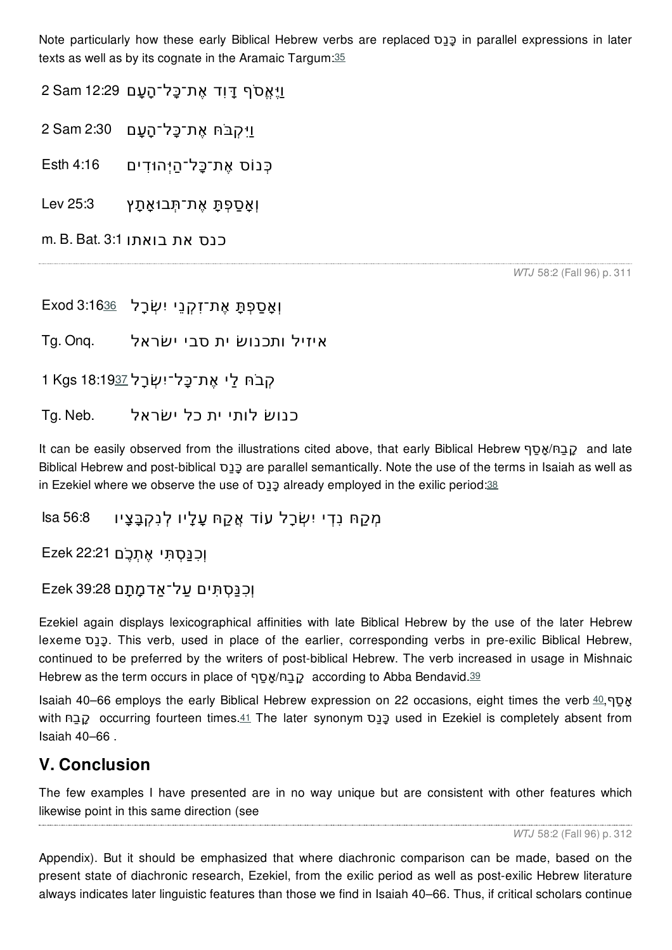Note particularly how these early Biblical Hebrew verbs are replaced סַנָכּ in parallel expressions in later texts as well as by its cognate in the Aramaic Targum:[35](file:///tmp/tmppdf1.html#G96B0735)

וַיֵּאֶסֹף דַּוִד אֶת־כַּל־הַעַם 12:29 Sam 12:29

וַיִּ ְק ֹבּ ּח אֶת־כָּל־הָ ָעם 2:30 Sam 2

כְּנוֹס אֶת־כָּל־הַיְּהוּ ִדים 4:16 Esth

וְאָ ַספְתָּ אֶת־תְּבוּאָתָץ 25:3 Lev

m. B. Bat. 3:1 .כנס את בואתו

*WTJ* 58:2 (Fall 96) p. 311

וְאָ ַספְתָּ אֶת־זִ ְקנֵי יִ ְשׂרָל 3:16[36](file:///tmp/tmppdf1.html#G96B0736) Exod

איזיל ותכנושׂ ית סבי ישׂראל .Onq .Tg

הָבֹח לַי אֶת־כָּל־יִשְׂרַל 1 Kgs 18:19[37](file:///tmp/tmppdf1.html#G96B0737)

כנושׂ לותי ית כל ישׂראל .Neb .Tg

It can be easily observed from the illustrations cited above, that early Biblical Hebrew סףַ אָ/חּ ַקבָ and late Biblical Hebrew and post-biblical סַנָכּ are parallel semantically. Note the use of the terms in Isaiah as well as in Ezekiel where we observe the use of  $\sigma$ <sub>22</sub> already employed in the exilic period:[38](file:///tmp/tmppdf1.html#G96B0738)

מְקַחּ נִדִי יִשְׂרַל עוֹד אֱקַחּ עֲלֵיו לְנִקְבַּצֵיו 56:8 Isa

וְכִנַּסְתִּי אֶתְכֵ<sup>ֹ</sup>ם 22:21 Ezek

#### וְכִנַּ ְסתִּים ַעל־אַדמָתָם 39:28 Ezek

Ezekiel again displays lexicographical affinities with late Biblical Hebrew by the use of the later Hebrew lexeme סַנָכּ. This verb, used in place of the earlier, corresponding verbs in pre-exilic Biblical Hebrew, continued to be preferred by the writers of post-biblical Hebrew. The verb increased in usage in Mishnaic Hebrew as the term occurs in place of סְבַח/אֲסַף according to Abba Bendavid.[39](file:///tmp/tmppdf1.html#G96B0739)

Isaiah [40](file:///tmp/tmppdf1.html#G96B0740)–66 employs the early Biblical Hebrew expression on 22 occasions, eight times the verb  $40,90$ with חֲבָה occurring fourteen times.[41](file:///tmp/tmppdf1.html#G96B0741) The later synonym סַבַּם used in Ezekiel is completely absent from Isaiah 40–66 .

### **V. Conclusion**

The few examples I have presented are in no way unique but are consistent with other features which likewise point in this same direction (see

*WTJ* 58:2 (Fall 96) p. 312

Appendix). But it should be emphasized that where diachronic comparison can be made, based on the present state of diachronic research, Ezekiel, from the exilic period as well as post-exilic Hebrew literature always indicates later linguistic features than those we find in Isaiah 40–66. Thus, if critical scholars continue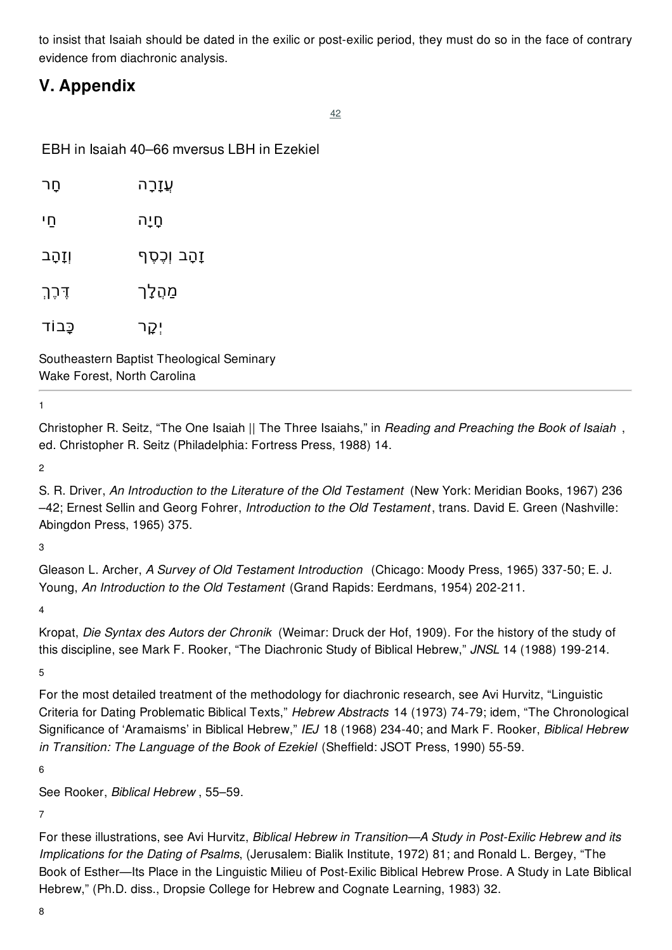to insist that Isaiah should be dated in the exilic or post-exilic period, they must do so in the face of contrary evidence from diachronic analysis.

## **V. Appendix**

[42](file:///tmp/tmppdf1.html#G96B0742)

EBH in Isaiah 40–66 mversus LBH in Ezekiel

| חַר            | <u>עֲז</u> ָרָה |
|----------------|-----------------|
| ּחַי           | םֲיָה           |
| <u>וְזָהָב</u> | זַהָב וְכֶסֶף   |
| דֶּכֶּךְ       | מַהָלָך         |
| כָּבוֹד        | יְקָר           |
|                |                 |

Southeastern Baptist Theological Seminary Wake Forest, North Carolina

1

Christopher R. Seitz, "The One Isaiah || The Three Isaiahs," in *Reading and Preaching the Book of Isaiah* , ed. Christopher R. Seitz (Philadelphia: Fortress Press, 1988) 14.

2

S. R. Driver, *An Introduction to the Literature of the Old Testament* (New York: Meridian Books, 1967) 236 –42; Ernest Sellin and Georg Fohrer, *Introduction to the Old Testament* , trans. David E. Green (Nashville: Abingdon Press, 1965) 375.

3

Gleason L. Archer, *A Survey of Old Testament Introduction* (Chicago: Moody Press, 1965) 337-50; E. J. Young, *An Introduction to the Old Testament* (Grand Rapids: Eerdmans, 1954) 202-211.

4

Kropat, *Die Syntax des Autors der Chronik* (Weimar: Druck der Hof, 1909). For the history of the study of this discipline, see Mark F. Rooker, "The Diachronic Study of Biblical Hebrew," *JNSL* 14 (1988) 199-214.

5

For the most detailed treatment of the methodology for diachronic research, see Avi Hurvitz, "Linguistic Criteria for Dating Problematic Biblical Texts," *Hebrew Abstracts* 14 (1973) 74-79; idem, "The Chronological Significance of 'Aramaisms' in Biblical Hebrew," *IEJ* 18 (1968) 234-40; and Mark F. Rooker, *Biblical Hebrew in Transition: The Language of the Book of Ezekiel* (Sheffield: JSOT Press, 1990) 55-59.

6

See Rooker, *Biblical Hebrew* , 55–59.

7

For these illustrations, see Avi Hurvitz, *Biblical Hebrew in Transition—A Study in Post-Exilic Hebrew and its Implications for the Dating of Psalms*, (Jerusalem: Bialik Institute, 1972) 81; and Ronald L. Bergey, "The Book of Esther—Its Place in the Linguistic Milieu of Post-Exilic Biblical Hebrew Prose. A Study in Late Biblical Hebrew," (Ph.D. diss., Dropsie College for Hebrew and Cognate Learning, 1983) 32.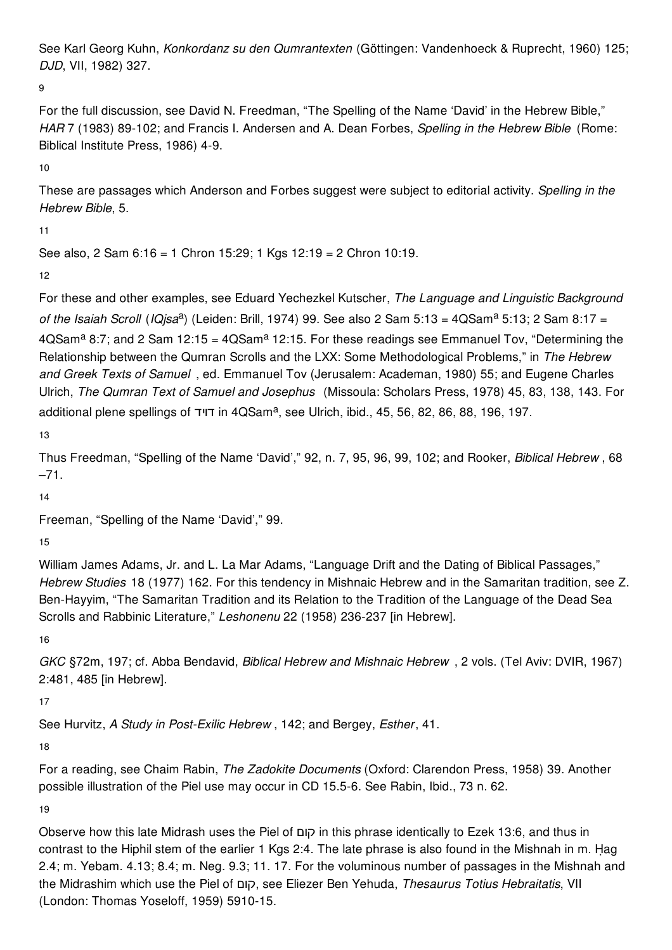See Karl Georg Kuhn, *Konkordanz su den Qumrantexten* (Göttingen: Vandenhoeck & Ruprecht, 1960) 125; *DJD*, VII, 1982) 327.

9

For the full discussion, see David N. Freedman, "The Spelling of the Name 'David' in the Hebrew Bible," *HAR* 7 (1983) 89-102; and Francis I. Andersen and A. Dean Forbes, *Spelling in the Hebrew Bible* (Rome: Biblical Institute Press, 1986) 4-9.

10

These are passages which Anderson and Forbes suggest were subject to editorial activity. *Spelling in the Hebrew Bible*, 5.

11

```
See also, 2 Sam 6:16 = 1 Chron 15:29; 1 Kgs 12:19 = 2 Chron 10:19.
```
12

For these and other examples, see Eduard Yechezkel Kutscher, *The Language and Linguistic Background* of *the Isaiah Scroll* (*IQjsa*<sup>a</sup>) (Leiden: Brill, 1974) 99. See also 2 Sam 5:13 = 4QSam<sup>a</sup> 5:13; 2 Sam 8:17 =  $4\Omega\text{Sam}^a$  8:7; and 2 Sam 12:15 =  $4\Omega\text{Sam}^a$  12:15. For these readings see Emmanuel Tov, "Determining the Relationship between the Qumran Scrolls and the LXX: Some Methodological Problems," in *The Hebrew and Greek Texts of Samuel* , ed. Emmanuel Tov (Jerusalem: Academan, 1980) 55; and Eugene Charles Ulrich, *The Qumran Text of Samuel and Josephus* (Missoula: Scholars Press, 1978) 45, 83, 138, 143. For additional plene spellings of חדויד in 4QSam<sup>a</sup>, see Ulrich, ibid., 45, 56, 82, 86, 88, 196, 197.

13

Thus Freedman, "Spelling of the Name 'David'," 92, n. 7, 95, 96, 99, 102; and Rooker, *Biblical Hebrew* , 68 –71.

14

Freeman, "Spelling of the Name 'David'," 99.

15

William James Adams, Jr. and L. La Mar Adams, "Language Drift and the Dating of Biblical Passages," *Hebrew Studies* 18 (1977) 162. For this tendency in Mishnaic Hebrew and in the Samaritan tradition, see Z. Ben-Hayyim, "The Samaritan Tradition and its Relation to the Tradition of the Language of the Dead Sea Scrolls and Rabbinic Literature," *Leshonenu* 22 (1958) 236-237 [in Hebrew].

16

*GKC* §72m, 197; cf. Abba Bendavid, *Biblical Hebrew and Mishnaic Hebrew* , 2 vols. (Tel Aviv: DVIR, 1967) 2:481, 485 [in Hebrew].

17

See Hurvitz, *A Study in Post-Exilic Hebrew* , 142; and Bergey, *Esther*, 41.

18

For a reading, see Chaim Rabin, *The Zadokite Documents* (Oxford: Clarendon Press, 1958) 39. Another possible illustration of the Piel use may occur in CD 15.5-6. See Rabin, Ibid., 73 n. 62.

19

Observe how this late Midrash uses the Piel of קום in this phrase identically to Ezek 13:6, and thus in contrast to the Hiphil stem of the earlier 1 Kgs 2:4. The late phrase is also found in the Mishnah in m. Hag 2.4; m. Yebam. 4.13; 8.4; m. Neg. 9.3; 11. 17. For the voluminous number of passages in the Mishnah and the Midrashim which use the Piel of קום, see Eliezer Ben Yehuda, *Thesaurus Totius Hebraitatis*, VII (London: Thomas Yoseloff, 1959) 5910-15.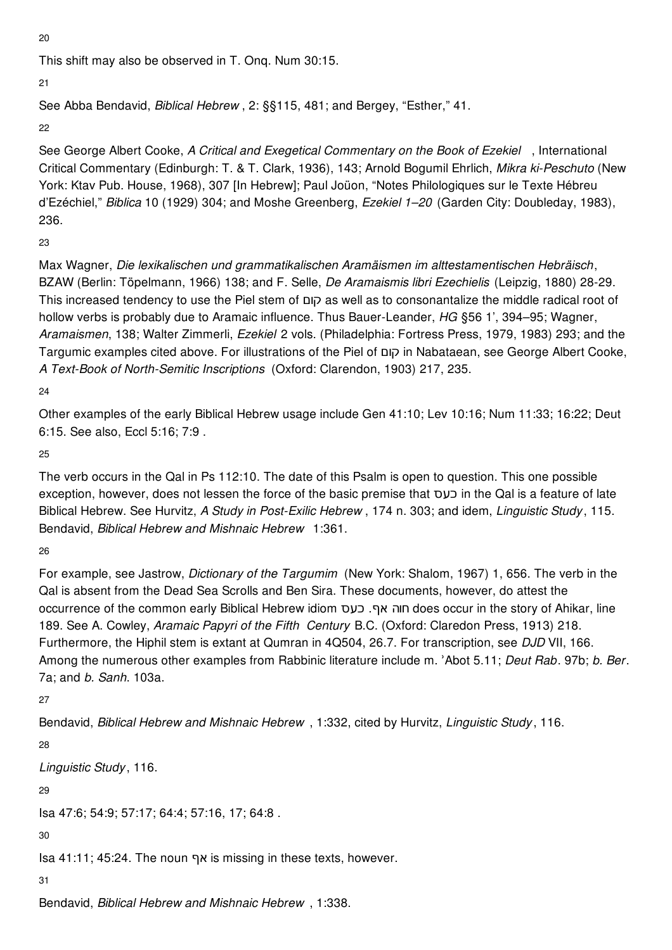20

This shift may also be observed in T. Onq. Num 30:15.

21

See Abba Bendavid, *Biblical Hebrew* , 2: §§115, 481; and Bergey, "Esther," 41.

22

See George Albert Cooke, *A Critical and Exegetical Commentary on the Book of Ezekiel* , International Critical Commentary (Edinburgh: T. & T. Clark, 1936), 143; Arnold Bogumil Ehrlich, *Mikra ki-Peschuto* (New York: Ktav Pub. House, 1968), 307 [In Hebrew]; Paul Joüon, "Notes Philologiques sur le Texte Hébreu d'Ezéchiel," *Biblica* 10 (1929) 304; and Moshe Greenberg, *Ezekiel 1–20* (Garden City: Doubleday, 1983), 236.

23

Max Wagner, *Die lexikalischen und grammatikalischen Aramäismen im alttestamentischen Hebräisch*, BZAW (Berlin: Töpelmann, 1966) 138; and F. Selle, *De Aramaismis libri Ezechielis* (Leipzig, 1880) 28-29. This increased tendency to use the Piel stem of קום as well as to consonantalize the middle radical root of hollow verbs is probably due to Aramaic influence. Thus Bauer-Leander, *HG* §56 1', 394–95; Wagner, *Aramaismen*, 138; Walter Zimmerli, *Ezekiel* 2 vols. (Philadelphia: Fortress Press, 1979, 1983) 293; and the Targumic examples cited above. For illustrations of the Piel of קום in Nabataean, see George Albert Cooke, *A Text-Book of North-Semitic Inscriptions* (Oxford: Clarendon, 1903) 217, 235.

24

Other examples of the early Biblical Hebrew usage include Gen 41:10; Lev 10:16; Num 11:33; 16:22; Deut 6:15. See also, Eccl 5:16; 7:9 .

25

The verb occurs in the Qal in Ps 112:10. The date of this Psalm is open to question. This one possible exception, however, does not lessen the force of the basic premise that כעס in the Qal is a feature of late Biblical Hebrew. See Hurvitz, *A Study in Post-Exilic Hebrew* , 174 n. 303; and idem, *Linguistic Study* , 115. Bendavid, *Biblical Hebrew and Mishnaic Hebrew* 1:361.

26

For example, see Jastrow, *Dictionary of the Targumim* (New York: Shalom, 1967) 1, 656. The verb in the Qal is absent from the Dead Sea Scrolls and Ben Sira. These documents, however, do attest the occurrence of the common early Biblical Hebrew idiom כעס .אף חוה does occur in the story of Ahikar, line 189. See A. Cowley, *Aramaic Papyri of the Fifth Century* B.C. (Oxford: Claredon Press, 1913) 218. Furthermore, the Hiphil stem is extant at Qumran in 4Q504, 26.7. For transcription, see *DJD* VII, 166. Among the numerous other examples from Rabbinic literature include m. ʾAbot 5.11; *Deut Rab*. 97b; *b. Ber*. 7a; and *b. Sanh*. 103a.

27

Bendavid, *Biblical Hebrew and Mishnaic Hebrew* , 1:332, cited by Hurvitz, *Linguistic Study* , 116.

28

*Linguistic Study* , 116.

29

Isa 47:6; 54:9; 57:17; 64:4; 57:16, 17; 64:8 .

30

Isa 41:11; 45:24. The noun אף is missing in these texts, however.

31

Bendavid, *Biblical Hebrew and Mishnaic Hebrew* , 1:338.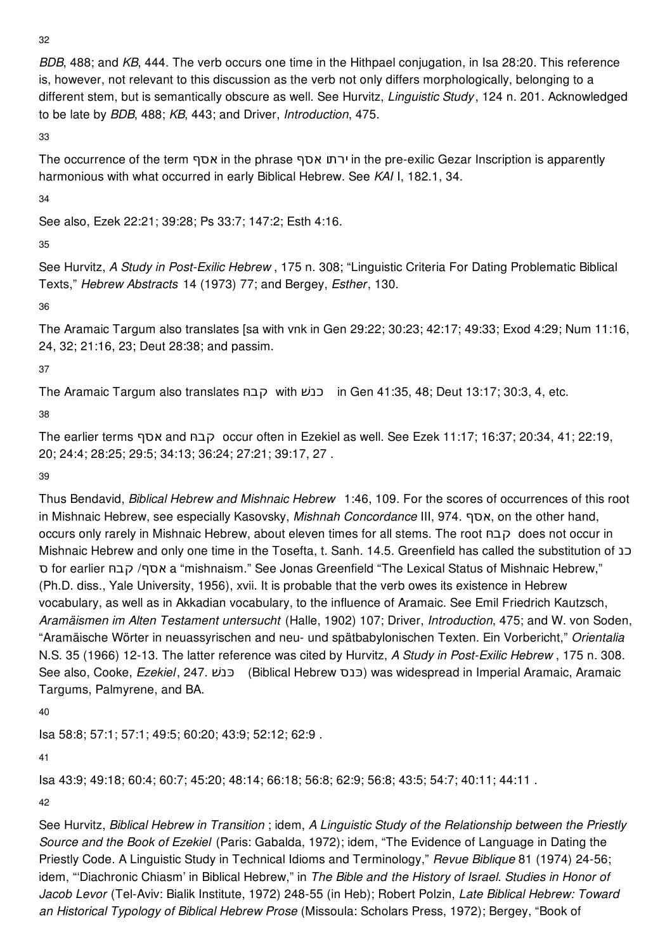32

*BDB*, 488; and *KB*, 444. The verb occurs one time in the Hithpael conjugation, in Isa 28:20. This reference is, however, not relevant to this discussion as the verb not only differs morphologically, belonging to a different stem, but is semantically obscure as well. See Hurvitz, *Linguistic Study* , 124 n. 201. Acknowledged to be late by *BDB*, 488; *KB*, 443; and Driver, *Introduction*, 475.

33

The occurrence of the term אסף in the phrase אסף ירתו in the pre-exilic Gezar Inscription is apparently harmonious with what occurred in early Biblical Hebrew. See *KAI* I, 182.1, 34.

34

See also, Ezek 22:21; 39:28; Ps 33:7; 147:2; Esth 4:16.

35

See Hurvitz, *A Study in Post-Exilic Hebrew* , 175 n. 308; "Linguistic Criteria For Dating Problematic Biblical Texts," *Hebrew Abstracts* 14 (1973) 77; and Bergey, *Esther*, 130.

36

The Aramaic Targum also translates [sa with vnk in Gen 29:22; 30:23; 42:17; 49:33; Exod 4:29; Num 11:16, 24, 32; 21:16, 23; Deut 28:38; and passim.

37

The Aramaic Targum also translates חּ קב with כנשׁ in Gen 41:35, 48; Deut 13:17; 30:3, 4, etc.

38

The earlier terms אסף and חּ קב occur often in Ezekiel as well. See Ezek 11:17; 16:37; 20:34, 41; 22:19, 20; 24:4; 28:25; 29:5; 34:13; 36:24; 27:21; 39:17, 27 .

39

Thus Bendavid, *Biblical Hebrew and Mishnaic Hebrew* 1:46, 109. For the scores of occurrences of this root in Mishnaic Hebrew, see especially Kasovsky, *Mishnah Concordance* III, 974. אסף, on the other hand, occurs only rarely in Mishnaic Hebrew, about eleven times for all stems. The root חּ קב does not occur in Mishnaic Hebrew and only one time in the Tosefta, t. Sanh. 14.5. Greenfield has called the substitution of כנ ס for earlier חּ קב /אסף a "mishnaism." See Jonas Greenfield "The Lexical Status of Mishnaic Hebrew," (Ph.D. diss., Yale University, 1956), xvii. It is probable that the verb owes its existence in Hebrew vocabulary, as well as in Akkadian vocabulary, to the influence of Aramaic. See Emil Friedrich Kautzsch, *Aramäismen im Alten Testament untersucht* (Halle, 1902) 107; Driver, *Introduction*, 475; and W. von Soden, "Aramäische Wörter in neuassyrischen and neu- und spätbabylonischen Texten. Ein Vorbericht," *Orientalia* N.S. 35 (1966) 12-13. The latter reference was cited by Hurvitz, *A Study in Post-Exilic Hebrew* , 175 n. 308. See also, Cooke, *Ezekiel*, 247. *כּנשׁ*) (Biblical Hebrew כנס) was widespread in Imperial Aramaic, Aramaic Targums, Palmyrene, and BA.

40

Isa 58:8; 57:1; 57:1; 49:5; 60:20; 43:9; 52:12; 62:9 .

41

Isa 43:9; 49:18; 60:4; 60:7; 45:20; 48:14; 66:18; 56:8; 62:9; 56:8; 43:5; 54:7; 40:11; 44:11 .

42

See Hurvitz, *Biblical Hebrew in Transition* ; idem, *A Linguistic Study of the Relationship between the Priestly Source and the Book of Ezekiel* (Paris: Gabalda, 1972); idem, "The Evidence of Language in Dating the Priestly Code. A Linguistic Study in Technical Idioms and Terminology," *Revue Biblique* 81 (1974) 24-56; idem, "'Diachronic Chiasm' in Biblical Hebrew," in *The Bible and the History of Israel. Studies in Honor of Jacob Levor* (Tel-Aviv: Bialik Institute, 1972) 248-55 (in Heb); Robert Polzin, *Late Biblical Hebrew: Toward an Historical Typology of Biblical Hebrew Prose* (Missoula: Scholars Press, 1972); Bergey, "Book of